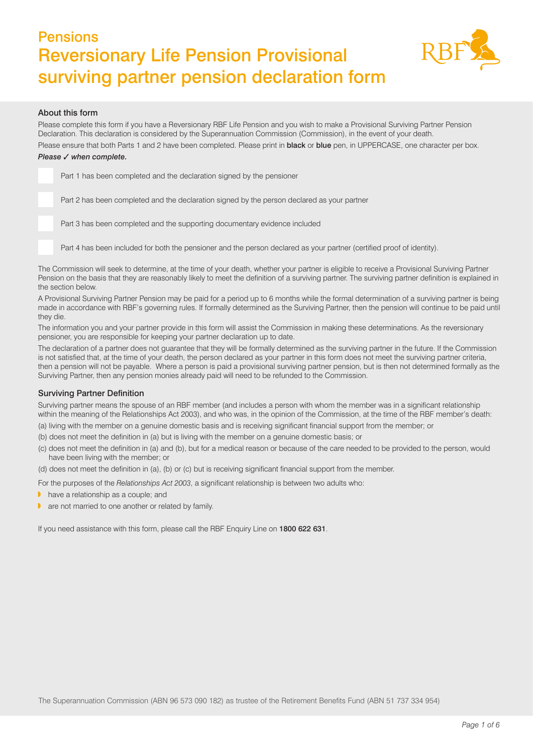*Page 1 of 6*

# Pensions Reversionary Life Pension Provisional surviving partner pension declaration form

# About this form

Please complete this form if you have a Reversionary RBF Life Pension and you wish to make a Provisional Surviving Partner Pension Declaration. This declaration is considered by the Superannuation Commission (Commission), in the event of your death. Please ensure that both Parts 1 and 2 have been completed. Please print in **black** or **blue** pen, in UPPERCASE, one character per box.

# *Please* ✓ *when complete.*

Part 2 has been completed and the declaration signed by the person declared as your partner

Part 3 has been completed and the supporting documentary evidence included

Part 1 has been completed and the declaration signed by the pensioner

Part 4 has been included for both the pensioner and the person declared as your partner (certified proof of identity).

The Commission will seek to determine, at the time of your death, whether your partner is eligible to receive a Provisional Surviving Partner Pension on the basis that they are reasonably likely to meet the definition of a surviving partner. The surviving partner definition is explained in the section below.

A Provisional Surviving Partner Pension may be paid for a period up to 6 months while the formal determination of a surviving partner is being made in accordance with RBF's governing rules. If formally determined as the Surviving Partner, then the pension will continue to be paid until they die.

The information you and your partner provide in this form will assist the Commission in making these determinations. As the reversionary pensioner, you are responsible for keeping your partner declaration up to date.

The declaration of a partner does not guarantee that they will be formally determined as the surviving partner in the future. If the Commission is not satisfied that, at the time of your death, the person declared as your partner in this form does not meet the surviving partner criteria, then a pension will not be payable. Where a person is paid a provisional surviving partner pension, but is then not determined formally as the Surviving Partner, then any pension monies already paid will need to be refunded to the Commission.

# Surviving Partner Definition

Surviving partner means the spouse of an RBF member (and includes a person with whom the member was in a significant relationship within the meaning of the Relationships Act 2003), and who was, in the opinion of the Commission, at the time of the RBF member's death:

- (a) living with the member on a genuine domestic basis and is receiving significant financial support from the member; or
- (b) does not meet the definition in (a) but is living with the member on a genuine domestic basis; or
- (c) does not meet the definition in (a) and (b), but for a medical reason or because of the care needed to be provided to the person, would have been living with the member; or

(d) does not meet the definition in (a), (b) or (c) but is receiving significant financial support from the member.

For the purposes of the *Relationships Act 2003*, a significant relationship is between two adults who:

- **•** have a relationship as a couple; and
- $\blacktriangleright$  are not married to one another or related by family.

If you need assistance with this form, please call the RBF Enquiry Line on 1800 622 631.

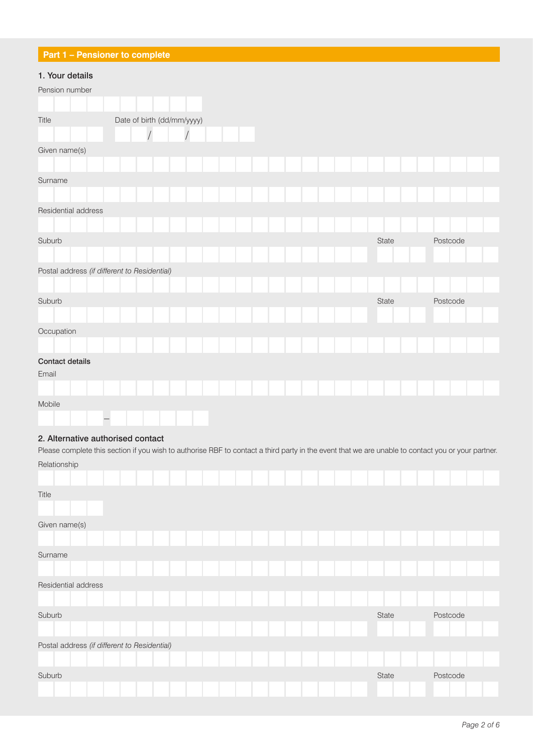# **Part 1 – Pensioner to complete**

# 1. Your details

| <b>THE TOWE ACTAIN</b>                       |                            |                |  |  |  |       |          |  |
|----------------------------------------------|----------------------------|----------------|--|--|--|-------|----------|--|
| Pension number                               |                            |                |  |  |  |       |          |  |
|                                              |                            |                |  |  |  |       |          |  |
| Title                                        | Date of birth (dd/mm/yyyy) |                |  |  |  |       |          |  |
|                                              |                            | $\overline{1}$ |  |  |  |       |          |  |
| Given name(s)                                |                            |                |  |  |  |       |          |  |
|                                              |                            |                |  |  |  |       |          |  |
| Surname                                      |                            |                |  |  |  |       |          |  |
|                                              |                            |                |  |  |  |       |          |  |
| Residential address                          |                            |                |  |  |  |       |          |  |
|                                              |                            |                |  |  |  |       |          |  |
| Suburb                                       |                            |                |  |  |  | State | Postcode |  |
|                                              |                            |                |  |  |  |       |          |  |
| Postal address (if different to Residential) |                            |                |  |  |  |       |          |  |
|                                              |                            |                |  |  |  |       |          |  |
| Suburb                                       |                            |                |  |  |  | State | Postcode |  |
|                                              |                            |                |  |  |  |       |          |  |
| Occupation                                   |                            |                |  |  |  |       |          |  |
|                                              |                            |                |  |  |  |       |          |  |
| <b>Contact details</b>                       |                            |                |  |  |  |       |          |  |
| Email                                        |                            |                |  |  |  |       |          |  |
|                                              |                            |                |  |  |  |       |          |  |
| Mobile                                       |                            |                |  |  |  |       |          |  |
| $\overline{\phantom{m}}$                     |                            |                |  |  |  |       |          |  |

# 2. Alternative authorised contact

Please complete this section if you wish to authorise RBF to contact a third party in the event that we are unable to contact you or your partner. Relationship

|               | i iciationomp                                |  |  |  |  |  |  |  |  |       |  |          |  |
|---------------|----------------------------------------------|--|--|--|--|--|--|--|--|-------|--|----------|--|
|               |                                              |  |  |  |  |  |  |  |  |       |  |          |  |
| Title         |                                              |  |  |  |  |  |  |  |  |       |  |          |  |
| Given name(s) |                                              |  |  |  |  |  |  |  |  |       |  |          |  |
|               |                                              |  |  |  |  |  |  |  |  |       |  |          |  |
| Surname       |                                              |  |  |  |  |  |  |  |  |       |  |          |  |
|               |                                              |  |  |  |  |  |  |  |  |       |  |          |  |
|               | Residential address                          |  |  |  |  |  |  |  |  |       |  |          |  |
|               |                                              |  |  |  |  |  |  |  |  |       |  |          |  |
| Suburb        |                                              |  |  |  |  |  |  |  |  | State |  | Postcode |  |
|               |                                              |  |  |  |  |  |  |  |  |       |  |          |  |
|               | Postal address (if different to Residential) |  |  |  |  |  |  |  |  |       |  |          |  |
|               |                                              |  |  |  |  |  |  |  |  |       |  |          |  |
| Suburb        |                                              |  |  |  |  |  |  |  |  | State |  | Postcode |  |
|               |                                              |  |  |  |  |  |  |  |  |       |  |          |  |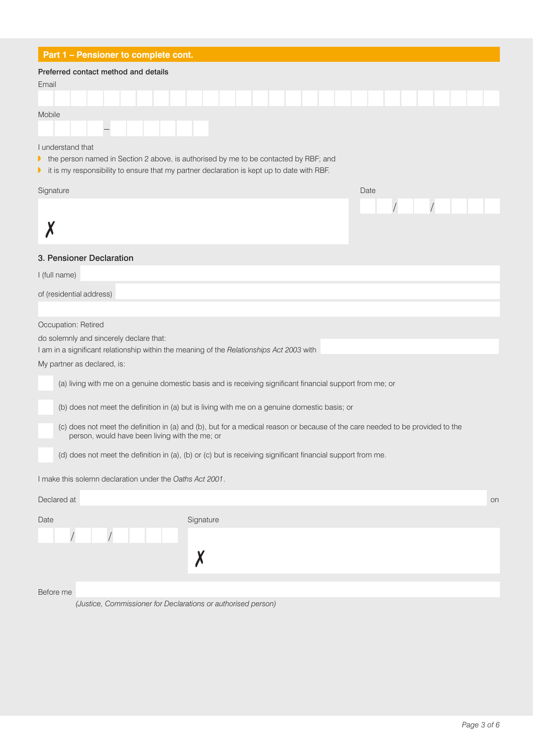# **Part 1 – Pensioner to complete cont.**

### Preferred contact method and details

| Email  |  |  |  |  |  |  |  |  |  |  |  |  |  |
|--------|--|--|--|--|--|--|--|--|--|--|--|--|--|
|        |  |  |  |  |  |  |  |  |  |  |  |  |  |
| Mobile |  |  |  |  |  |  |  |  |  |  |  |  |  |
|        |  |  |  |  |  |  |  |  |  |  |  |  |  |

I understand that

- $\blacktriangleright$  the person named in Section 2 above, is authorised by me to be contacted by RBF; and
- **•** it is my responsibility to ensure that my partner declaration is kept up to date with RBF.

| Signature                | Date |  |  |  |
|--------------------------|------|--|--|--|
|                          |      |  |  |  |
|                          |      |  |  |  |
| 3. Pensioner Declaration |      |  |  |  |
| I (full name)            |      |  |  |  |
| of (residential address) |      |  |  |  |
|                          |      |  |  |  |

#### Occupation: Retired

do solemnly and sincerely declare that:

I am in a significant relationship within the meaning of the *Relationships Act 2003* with

My partner as declared, is:

(a) living with me on a genuine domestic basis and is receiving significant financial support from me; or

(b) does not meet the definition in (a) but is living with me on a genuine domestic basis; or

(c) does not meet the definition in (a) and (b), but for a medical reason or because of the care needed to be provided to the person, would have been living with the me; or

(d) does not meet the definition in (a), (b) or (c) but is receiving significant financial support from me.

I make this solemn declaration under the *Oaths Act 2001*.

| Declared at |  |  |           |  |  |  |  | on |
|-------------|--|--|-----------|--|--|--|--|----|
| Date        |  |  | Signature |  |  |  |  |    |
|             |  |  |           |  |  |  |  |    |
|             |  |  | M         |  |  |  |  |    |
|             |  |  |           |  |  |  |  |    |

### Before me

*(Justice, Commissioner for Declarations or authorised person)*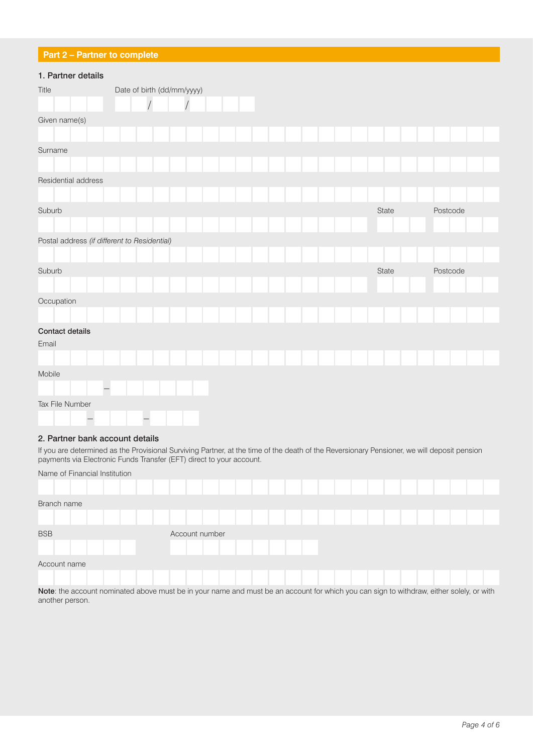# **Part 2 – Partner to complete**

# 1. Partner details

| <b>1. I altrici uctalis</b>                  |                            |  |  |  |  |  |       |  |          |  |  |
|----------------------------------------------|----------------------------|--|--|--|--|--|-------|--|----------|--|--|
| Title                                        | Date of birth (dd/mm/yyyy) |  |  |  |  |  |       |  |          |  |  |
|                                              |                            |  |  |  |  |  |       |  |          |  |  |
| Given name(s)                                |                            |  |  |  |  |  |       |  |          |  |  |
|                                              |                            |  |  |  |  |  |       |  |          |  |  |
| Surname                                      |                            |  |  |  |  |  |       |  |          |  |  |
|                                              |                            |  |  |  |  |  |       |  |          |  |  |
| Residential address                          |                            |  |  |  |  |  |       |  |          |  |  |
|                                              |                            |  |  |  |  |  |       |  |          |  |  |
| Suburb                                       |                            |  |  |  |  |  | State |  | Postcode |  |  |
|                                              |                            |  |  |  |  |  |       |  |          |  |  |
| Postal address (if different to Residential) |                            |  |  |  |  |  |       |  |          |  |  |
|                                              |                            |  |  |  |  |  |       |  |          |  |  |
| Suburb                                       |                            |  |  |  |  |  | State |  | Postcode |  |  |
|                                              |                            |  |  |  |  |  |       |  |          |  |  |
| Occupation                                   |                            |  |  |  |  |  |       |  |          |  |  |
|                                              |                            |  |  |  |  |  |       |  |          |  |  |
| Contact details                              |                            |  |  |  |  |  |       |  |          |  |  |
| Email                                        |                            |  |  |  |  |  |       |  |          |  |  |
|                                              |                            |  |  |  |  |  |       |  |          |  |  |
| Mobile                                       |                            |  |  |  |  |  |       |  |          |  |  |
|                                              |                            |  |  |  |  |  |       |  |          |  |  |
| Tax File Number                              |                            |  |  |  |  |  |       |  |          |  |  |
|                                              | $\overline{\phantom{0}}$   |  |  |  |  |  |       |  |          |  |  |

### 2. Partner bank account details

If you are determined as the Provisional Surviving Partner, at the time of the death of the Reversionary Pensioner, we will deposit pension payments via Electronic Funds Transfer (EFT) direct to your account.

| Name of Financial Institution                                                                                                                   |                |  |  |  |  |  |  |  |  |  |  |  |  |
|-------------------------------------------------------------------------------------------------------------------------------------------------|----------------|--|--|--|--|--|--|--|--|--|--|--|--|
|                                                                                                                                                 |                |  |  |  |  |  |  |  |  |  |  |  |  |
| Branch name                                                                                                                                     |                |  |  |  |  |  |  |  |  |  |  |  |  |
|                                                                                                                                                 |                |  |  |  |  |  |  |  |  |  |  |  |  |
| <b>BSB</b>                                                                                                                                      | Account number |  |  |  |  |  |  |  |  |  |  |  |  |
|                                                                                                                                                 |                |  |  |  |  |  |  |  |  |  |  |  |  |
| Account name                                                                                                                                    |                |  |  |  |  |  |  |  |  |  |  |  |  |
|                                                                                                                                                 |                |  |  |  |  |  |  |  |  |  |  |  |  |
| <b>Note:</b> the account nominated above must be in your name and must be an account for which you can sign to withdraw, either solely, or with |                |  |  |  |  |  |  |  |  |  |  |  |  |

Note: the account nominated above must be in your name and must be an account for which you can sign to withdraw, either solely, or with another person.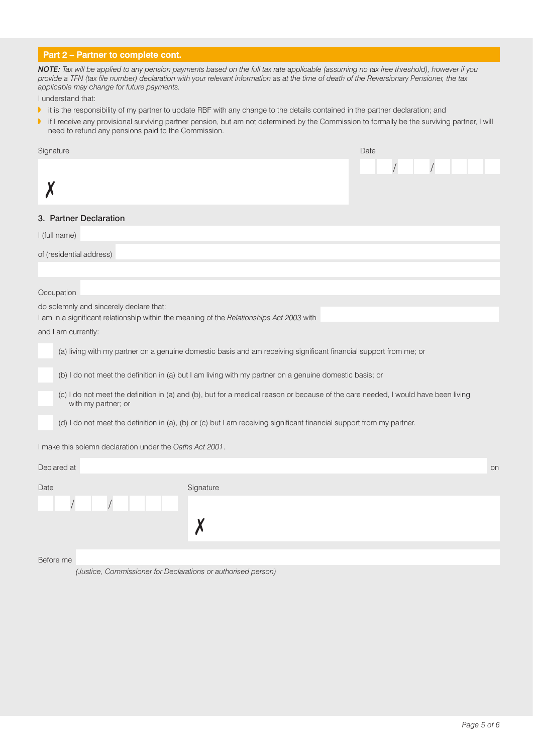# **Part 2 – Partner to complete cont.**

*NOTE: Tax will be applied to any pension payments based on the full tax rate applicable (assuming no tax free threshold), however if you provide a TFN (tax file number) declaration with your relevant information as at the time of death of the Reversionary Pensioner, the tax applicable may change for future payments.*

I understand that:

- It is the responsibility of my partner to update RBF with any change to the details contained in the partner declaration; and
- I if I receive any provisional surviving partner pension, but am not determined by the Commission to formally be the surviving partner, I will need to refund any pensions paid to the Commission.

| Signature                                                                                                                                                | Date |    |
|----------------------------------------------------------------------------------------------------------------------------------------------------------|------|----|
|                                                                                                                                                          |      |    |
|                                                                                                                                                          |      |    |
|                                                                                                                                                          |      |    |
| 3. Partner Declaration                                                                                                                                   |      |    |
| I (full name)                                                                                                                                            |      |    |
| of (residential address)                                                                                                                                 |      |    |
|                                                                                                                                                          |      |    |
| Occupation                                                                                                                                               |      |    |
| do solemnly and sincerely declare that:                                                                                                                  |      |    |
| I am in a significant relationship within the meaning of the Relationships Act 2003 with                                                                 |      |    |
| and I am currently:                                                                                                                                      |      |    |
| (a) living with my partner on a genuine domestic basis and am receiving significant financial support from me; or                                        |      |    |
| (b) I do not meet the definition in (a) but I am living with my partner on a genuine domestic basis; or                                                  |      |    |
| (c) I do not meet the definition in (a) and (b), but for a medical reason or because of the care needed, I would have been living<br>with my partner; or |      |    |
| (d) I do not meet the definition in (a), (b) or (c) but I am receiving significant financial support from my partner.                                    |      |    |
| I make this solemn declaration under the Oaths Act 2001.                                                                                                 |      |    |
| Declared at                                                                                                                                              |      | on |
| Signature<br>Date                                                                                                                                        |      |    |
|                                                                                                                                                          |      |    |
|                                                                                                                                                          |      |    |
|                                                                                                                                                          |      |    |

Before me

*(Justice, Commissioner for Declarations or authorised person)*